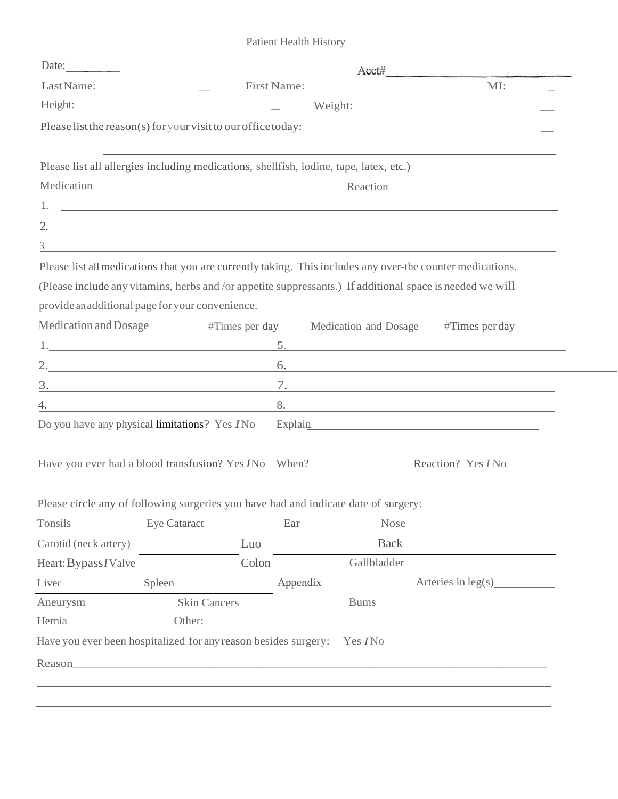Patient Health History

| Date:                 |                                                                                        |          |                                                                                                                                                                                                                                | $Acct\#$             |  |  |
|-----------------------|----------------------------------------------------------------------------------------|----------|--------------------------------------------------------------------------------------------------------------------------------------------------------------------------------------------------------------------------------|----------------------|--|--|
|                       |                                                                                        |          |                                                                                                                                                                                                                                |                      |  |  |
|                       | Height:                                                                                |          |                                                                                                                                                                                                                                |                      |  |  |
|                       |                                                                                        |          | Please list the reason(s) for your visit to our office today:                                                                                                                                                                  |                      |  |  |
|                       |                                                                                        |          |                                                                                                                                                                                                                                |                      |  |  |
|                       | Please list all allergies including medications, shellfish, iodine, tape, latex, etc.) |          |                                                                                                                                                                                                                                |                      |  |  |
|                       | Reaction                                                                               |          |                                                                                                                                                                                                                                |                      |  |  |
|                       |                                                                                        |          |                                                                                                                                                                                                                                |                      |  |  |
|                       |                                                                                        |          |                                                                                                                                                                                                                                |                      |  |  |
| $\mathfrak{Z}$        |                                                                                        |          |                                                                                                                                                                                                                                |                      |  |  |
|                       |                                                                                        |          | Please list all medications that you are currently taking. This includes any over-the counter medications.                                                                                                                     |                      |  |  |
|                       |                                                                                        |          | (Please include any vitamins, herbs and /or appetite suppressants.) If additional space is needed we will                                                                                                                      |                      |  |  |
|                       | provide an additional page for your convenience.                                       |          |                                                                                                                                                                                                                                |                      |  |  |
| Medication and Dosage |                                                                                        |          | #Times per day Medication and Dosage #Times per day                                                                                                                                                                            |                      |  |  |
|                       |                                                                                        |          | 5.                                                                                                                                                                                                                             |                      |  |  |
|                       |                                                                                        |          | 6.                                                                                                                                                                                                                             |                      |  |  |
|                       |                                                                                        |          |                                                                                                                                                                                                                                |                      |  |  |
|                       |                                                                                        |          |                                                                                                                                                                                                                                |                      |  |  |
|                       | Do you have any physical limitations? Yes <i>I</i> No                                  |          | Explain explaint and the contract of the contract of the contract of the contract of the contract of the contract of the contract of the contract of the contract of the contract of the contract of the contract of the contr |                      |  |  |
|                       |                                                                                        |          |                                                                                                                                                                                                                                |                      |  |  |
|                       |                                                                                        |          | Have you ever had a blood transfusion? Yes <i>INo</i> When?<br>Reaction? Yes <i>INo</i>                                                                                                                                        |                      |  |  |
|                       |                                                                                        |          |                                                                                                                                                                                                                                |                      |  |  |
|                       | Please circle any of following surgeries you have had and indicate date of surgery:    |          |                                                                                                                                                                                                                                |                      |  |  |
| Tonsils               | Eye Cataract                                                                           | Ear      | <b>Nose</b>                                                                                                                                                                                                                    |                      |  |  |
| Carotid (neck artery) |                                                                                        | Luo      | <b>Back</b>                                                                                                                                                                                                                    |                      |  |  |
| Heart: Bypass / Valve |                                                                                        | Colon    | Gallbladder                                                                                                                                                                                                                    |                      |  |  |
| Liver                 | Spleen                                                                                 | Appendix |                                                                                                                                                                                                                                | Arteries in $leg(s)$ |  |  |
| Aneurysm              | <b>Skin Cancers</b>                                                                    |          | <b>Bums</b>                                                                                                                                                                                                                    |                      |  |  |
|                       |                                                                                        |          |                                                                                                                                                                                                                                |                      |  |  |
| Hernia                |                                                                                        |          |                                                                                                                                                                                                                                |                      |  |  |
|                       | Have you ever been hospitalized for any reason besides surgery: Yes INo                |          |                                                                                                                                                                                                                                |                      |  |  |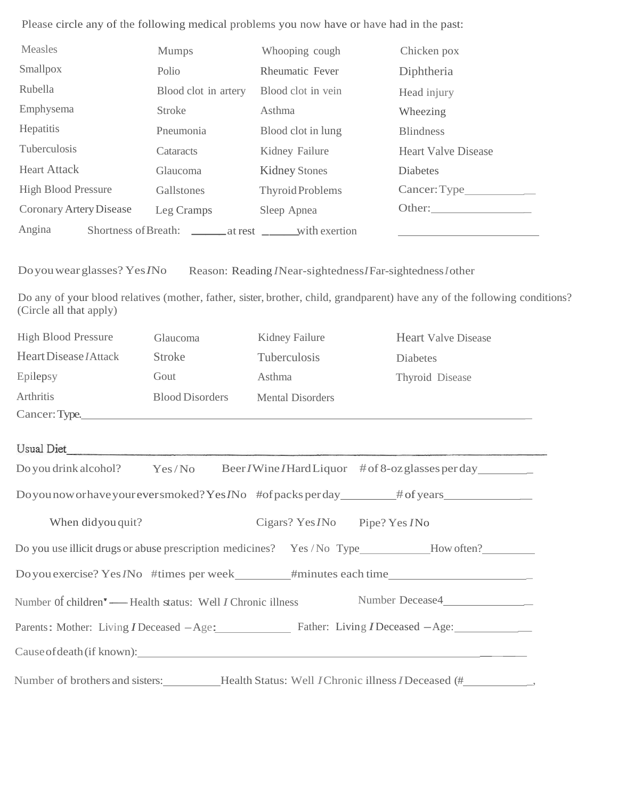Please circle any of the following medical problems you now have or have had in the past:

| Measles                                                            | <b>Mumps</b>                                                      | Whooping cough                              | Chicken pox                                                                                                                |  |
|--------------------------------------------------------------------|-------------------------------------------------------------------|---------------------------------------------|----------------------------------------------------------------------------------------------------------------------------|--|
| Smallpox                                                           | Polio                                                             | Rheumatic Fever                             | Diphtheria                                                                                                                 |  |
| Rubella                                                            | Blood clot in artery                                              | Blood clot in vein                          | Head injury                                                                                                                |  |
| Emphysema                                                          | <b>Stroke</b>                                                     | Asthma                                      | Wheezing                                                                                                                   |  |
| Hepatitis                                                          | Pneumonia                                                         | Blood clot in lung                          | <b>Blindness</b>                                                                                                           |  |
| Tuberculosis                                                       | Cataracts                                                         | Kidney Failure                              | <b>Heart Valve Disease</b>                                                                                                 |  |
| <b>Heart Attack</b>                                                | Glaucoma                                                          | <b>Kidney Stones</b>                        | Diabetes                                                                                                                   |  |
| <b>High Blood Pressure</b>                                         | Gallstones                                                        | Thyroid Problems                            |                                                                                                                            |  |
| Coronary Artery Disease                                            | Leg Cramps                                                        | Sleep Apnea                                 |                                                                                                                            |  |
| Angina                                                             | Shortness of Breath: ________ at rest ________ with exertion      |                                             |                                                                                                                            |  |
| (Circle all that apply)                                            |                                                                   |                                             | Do any of your blood relatives (mother, father, sister, brother, child, grandparent) have any of the following conditions? |  |
| <b>High Blood Pressure</b>                                         | Glaucoma                                                          | Kidney Failure                              | <b>Heart Valve Disease</b>                                                                                                 |  |
| Heart Disease <i>I</i> Attack                                      | <b>Stroke</b>                                                     | Tuberculosis                                | Diabetes                                                                                                                   |  |
| Epilepsy                                                           | Gout                                                              | Asthma                                      | Thyroid Disease                                                                                                            |  |
| Arthritis                                                          | <b>Blood Disorders</b>                                            | <b>Mental Disorders</b>                     |                                                                                                                            |  |
|                                                                    |                                                                   |                                             |                                                                                                                            |  |
| Usual Diet                                                         | <u> 2000 - Januari Alemania, matematika matematika (h. 1888).</u> |                                             |                                                                                                                            |  |
| Do you drink alcohol?                                              | Yes/No                                                            |                                             | Beer / Wine / Hard Liquor # of 8-oz glasses per day                                                                        |  |
|                                                                    |                                                                   |                                             |                                                                                                                            |  |
| When didyou quit?                                                  |                                                                   | Cigars? Yes <i>INo</i> Pipe? Yes <i>INo</i> |                                                                                                                            |  |
|                                                                    |                                                                   |                                             | Do you use illicit drugs or abuse prescription medicines? Yes /No Type__________How often?_________                        |  |
|                                                                    |                                                                   |                                             |                                                                                                                            |  |
| Number of children' — Health status: Well <i>I</i> Chronic illness |                                                                   |                                             | Number Decease4________________                                                                                            |  |
|                                                                    |                                                                   |                                             | Parents: Mother: Living <i>I</i> Deceased - Age: Father: Living <i>I</i> Deceased - Age:                                   |  |
|                                                                    |                                                                   |                                             | Cause of death (if known):                                                                                                 |  |

Number of brothers and sisters: Health Status: Well *I*Chronic illness*I*Deceased (# \_,